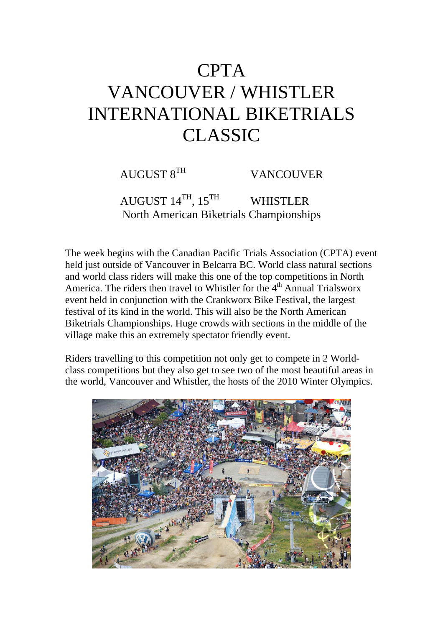# CPTA VANCOUVER / WHISTLER INTERNATIONAL BIKETRIALS CLASSIC

AUGUST 8<sup>TH</sup> VANCOUVER

AUGUST  $14^{TH}$ ,  $15^{TH}$  WHISTLER North American Biketrials Championships

The week begins with the Canadian Pacific Trials Association (CPTA) event held just outside of Vancouver in Belcarra BC. World class natural sections and world class riders will make this one of the top competitions in North America. The riders then travel to Whistler for the  $4<sup>th</sup>$  Annual Trialsworx event held in conjunction with the Crankworx Bike Festival, the largest festival of its kind in the world. This will also be the North American Biketrials Championships. Huge crowds with sections in the middle of the village make this an extremely spectator friendly event.

Riders travelling to this competition not only get to compete in 2 Worldclass competitions but they also get to see two of the most beautiful areas in the world, Vancouver and Whistler, the hosts of the 2010 Winter Olympics.

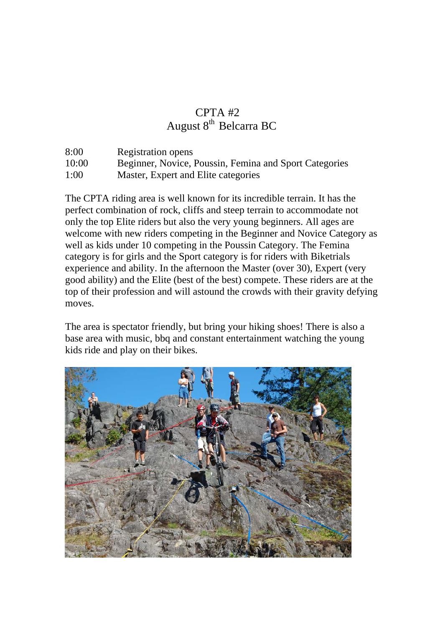### CPTA #2 August 8<sup>th</sup> Belcarra BC

| 8:00  | Registration opens                                     |
|-------|--------------------------------------------------------|
| 10:00 | Beginner, Novice, Poussin, Femina and Sport Categories |
| 1:00  | Master, Expert and Elite categories                    |

The CPTA riding area is well known for its incredible terrain. It has the perfect combination of rock, cliffs and steep terrain to accommodate not only the top Elite riders but also the very young beginners. All ages are welcome with new riders competing in the Beginner and Novice Category as well as kids under 10 competing in the Poussin Category. The Femina category is for girls and the Sport category is for riders with Biketrials experience and ability. In the afternoon the Master (over 30), Expert (very good ability) and the Elite (best of the best) compete. These riders are at the top of their profession and will astound the crowds with their gravity defying moves.

The area is spectator friendly, but bring your hiking shoes! There is also a base area with music, bbq and constant entertainment watching the young kids ride and play on their bikes.

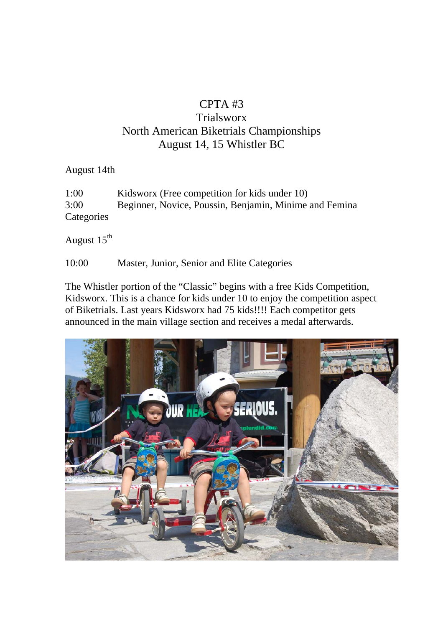#### CPTA #3

### **Trialsworx** North American Biketrials Championships August 14, 15 Whistler BC

August 14th

| 1:00       | Kidsworx (Free competition for kids under 10)          |
|------------|--------------------------------------------------------|
| 3:00       | Beginner, Novice, Poussin, Benjamin, Minime and Femina |
| Categories |                                                        |

August  $15<sup>th</sup>$ 

10:00 Master, Junior, Senior and Elite Categories

The Whistler portion of the "Classic" begins with a free Kids Competition, Kidsworx. This is a chance for kids under 10 to enjoy the competition aspect of Biketrials. Last years Kidsworx had 75 kids!!!! Each competitor gets announced in the main village section and receives a medal afterwards.

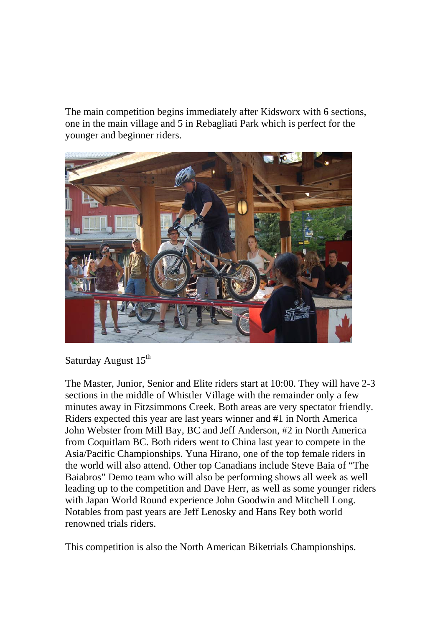The main competition begins immediately after Kidsworx with 6 sections, one in the main village and 5 in Rebagliati Park which is perfect for the younger and beginner riders.



Saturday August 15<sup>th</sup>

The Master, Junior, Senior and Elite riders start at 10:00. They will have 2-3 sections in the middle of Whistler Village with the remainder only a few minutes away in Fitzsimmons Creek. Both areas are very spectator friendly. Riders expected this year are last years winner and #1 in North America John Webster from Mill Bay, BC and Jeff Anderson, #2 in North America from Coquitlam BC. Both riders went to China last year to compete in the Asia/Pacific Championships. Yuna Hirano, one of the top female riders in the world will also attend. Other top Canadians include Steve Baia of "The Baiabros" Demo team who will also be performing shows all week as well leading up to the competition and Dave Herr, as well as some younger riders with Japan World Round experience John Goodwin and Mitchell Long. Notables from past years are Jeff Lenosky and Hans Rey both world renowned trials riders.

This competition is also the North American Biketrials Championships.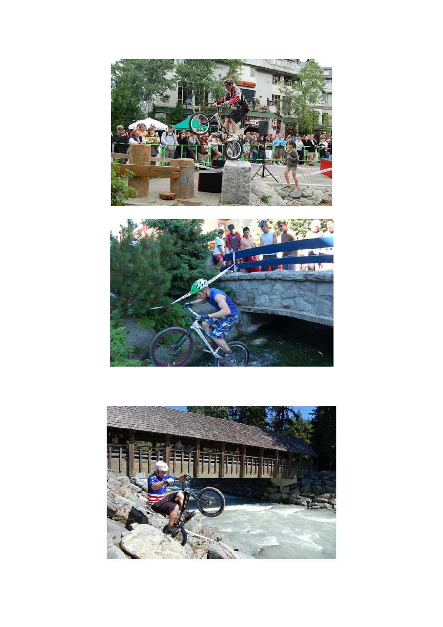